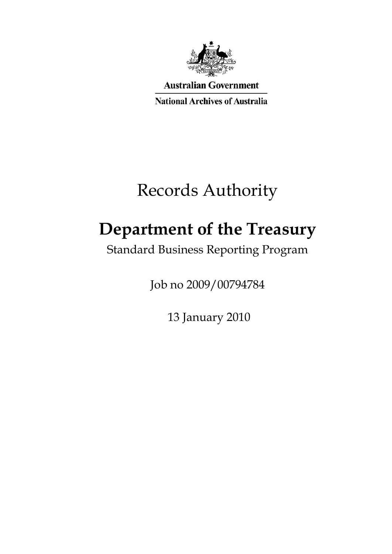

**Australian Government** 

**National Archives of Australia** 

# Records Authority

# **Department of the Treasury**

Standard Business Reporting Program

Job no 2009/00794784

13 January 2010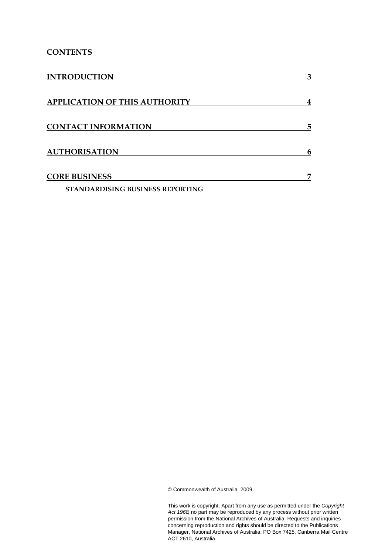### **CONTENTS**

| <b>INTRODUCTION</b>                     | 3 |
|-----------------------------------------|---|
| <b>APPLICATION OF THIS AUTHORITY</b>    | 4 |
| <b>CONTACT INFORMATION</b>              | 5 |
| <b>AUTHORISATION</b>                    | 6 |
| <b>CORE BUSINESS</b>                    | 7 |
| <b>STANDARDISING BUSINESS REPORTING</b> |   |

© Commonwealth of Australia 2009

This work is copyright. Apart from any use as permitted under the *Copyright Act 1968,* no part may be reproduced by any process without prior written permission from the National Archives of Australia. Requests and inquiries concerning reproduction and rights should be directed to the Publications Manager, National Archives of Australia, PO Box 7425, Canberra Mail Centre ACT 2610, Australia.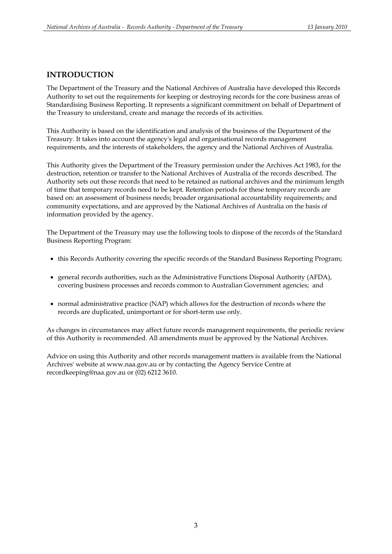### **INTRODUCTION**

The Department of the Treasury and the National Archives of Australia have developed this Records Authority to set out the requirements for keeping or destroying records for the core business areas of Standardising Business Reporting. It represents a significant commitment on behalf of Department of the Treasury to understand, create and manage the records of its activities.

This Authority is based on the identification and analysis of the business of the Department of the Treasury. It takes into account the agency's legal and organisational records management requirements, and the interests of stakeholders, the agency and the National Archives of Australia.

This Authority gives the Department of the Treasury permission under the Archives Act 1983, for the destruction, retention or transfer to the National Archives of Australia of the records described. The Authority sets out those records that need to be retained as national archives and the minimum length of time that temporary records need to be kept. Retention periods for these temporary records are based on: an assessment of business needs; broader organisational accountability requirements; and community expectations, and are approved by the National Archives of Australia on the basis of information provided by the agency.

The Department of the Treasury may use the following tools to dispose of the records of the Standard Business Reporting Program:

- this Records Authority covering the specific records of the Standard Business Reporting Program;
- general records authorities, such as the Administrative Functions Disposal Authority (AFDA), covering business processes and records common to Australian Government agencies; and
- normal administrative practice (NAP) which allows for the destruction of records where the records are duplicated, unimportant or for short-term use only.

As changes in circumstances may affect future records management requirements, the periodic review of this Authority is recommended. All amendments must be approved by the National Archives.

Advice on using this Authority and other records management matters is available from the National Archives' website at www.naa.gov.au or by contacting the Agency Service Centre at recordkeeping@naa.gov.au or (02) 6212 3610.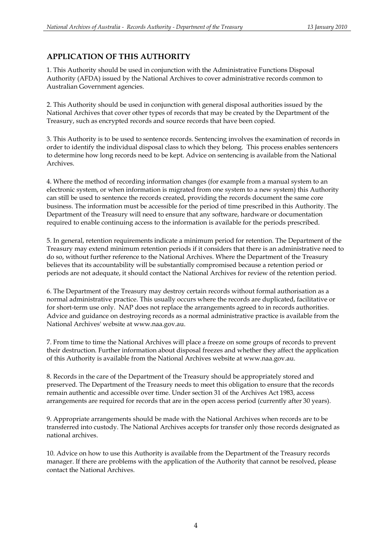# **APPLICATION OF THIS AUTHORITY**

1. This Authority should be used in conjunction with the Administrative Functions Disposal Authority (AFDA) issued by the National Archives to cover administrative records common to Australian Government agencies.

2. This Authority should be used in conjunction with general disposal authorities issued by the National Archives that cover other types of records that may be created by the Department of the Treasury, such as encrypted records and source records that have been copied.

3. This Authority is to be used to sentence records. Sentencing involves the examination of records in order to identify the individual disposal class to which they belong. This process enables sentencers to determine how long records need to be kept. Advice on sentencing is available from the National Archives.

4. Where the method of recording information changes (for example from a manual system to an electronic system, or when information is migrated from one system to a new system) this Authority can still be used to sentence the records created, providing the records document the same core business. The information must be accessible for the period of time prescribed in this Authority. The Department of the Treasury will need to ensure that any software, hardware or documentation required to enable continuing access to the information is available for the periods prescribed.

5. In general, retention requirements indicate a minimum period for retention. The Department of the Treasury may extend minimum retention periods if it considers that there is an administrative need to do so, without further reference to the National Archives. Where the Department of the Treasury believes that its accountability will be substantially compromised because a retention period or periods are not adequate, it should contact the National Archives for review of the retention period.

6. The Department of the Treasury may destroy certain records without formal authorisation as a normal administrative practice. This usually occurs where the records are duplicated, facilitative or for short-term use only. NAP does not replace the arrangements agreed to in records authorities. Advice and guidance on destroying records as a normal administrative practice is available from the National Archives' website at www.naa.gov.au.

7. From time to time the National Archives will place a freeze on some groups of records to prevent their destruction. Further information about disposal freezes and whether they affect the application of this Authority is available from the National Archives website at www.naa.gov.au.

8. Records in the care of the Department of the Treasury should be appropriately stored and preserved. The Department of the Treasury needs to meet this obligation to ensure that the records remain authentic and accessible over time. Under section 31 of the Archives Act 1983, access arrangements are required for records that are in the open access period (currently after 30 years).

9. Appropriate arrangements should be made with the National Archives when records are to be transferred into custody. The National Archives accepts for transfer only those records designated as national archives.

10. Advice on how to use this Authority is available from the Department of the Treasury records manager. If there are problems with the application of the Authority that cannot be resolved, please contact the National Archives.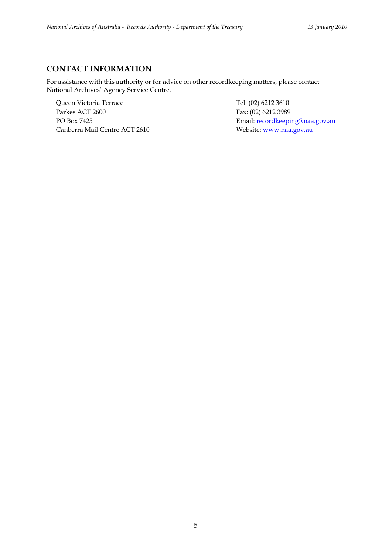## **CONTACT INFORMATION**

For assistance with this authority or for advice on other recordkeeping matters, please contact National Archives' Agency Service Centre.

Queen Victoria Terrace Tel: (02) 6212 3610 Parkes ACT 2600 Fax: (02) 6212 3989 Canberra Mail Centre ACT 2610 Website: www.naa.gov.au

PO Box 7425 **Email:** recordkeeping@naa.gov.au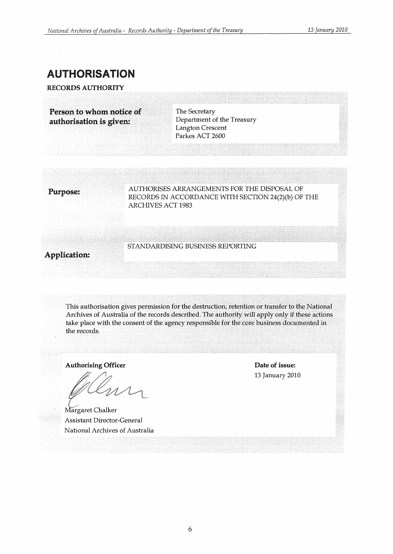# AUTHORISATION

RECORDS AUTHORITY

Person to whom notice of authorisation is given:

The Secretary Department of the Treasury Langton Crescent Parkes ACT 2600

Purpose: AUTHORISES ARRANGEMENTS FOR THE DISPOSAL OF RECORDS IN ACCORDANCE WITH SECTION 24(2)(b) OF THE ARCHIVES ACT 1983

# Application:

STANDARDISING BUSINESS REPORTING

This authorisation gives permission for the destruction, retention or transfer to the National Archives of Australia of the records described. The authority will apply only if these actions take place with the consent of the agency responsible for the core business documented in the records.

Authorising Officer

Margaret Chalker Assistant Director-General National Archives of Australia

Date of issue: 13 January 2010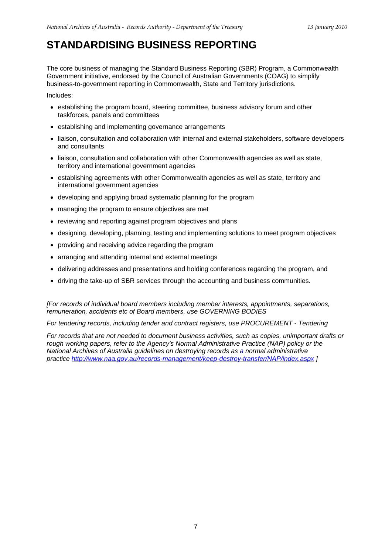# **STANDARDISING BUSINESS REPORTING**

The core business of managing the Standard Business Reporting (SBR) Program, a Commonwealth Government initiative, endorsed by the Council of Australian Governments (COAG) to simplify business-to-government reporting in Commonwealth, State and Territory jurisdictions.

Includes:

- establishing the program board, steering committee, business advisory forum and other taskforces, panels and committees
- establishing and implementing governance arrangements
- liaison, consultation and collaboration with internal and external stakeholders, software developers and consultants
- liaison, consultation and collaboration with other Commonwealth agencies as well as state, territory and international government agencies
- establishing agreements with other Commonwealth agencies as well as state, territory and international government agencies
- developing and applying broad systematic planning for the program
- managing the program to ensure objectives are met
- reviewing and reporting against program objectives and plans
- designing, developing, planning, testing and implementing solutions to meet program objectives
- providing and receiving advice regarding the program
- arranging and attending internal and external meetings
- delivering addresses and presentations and holding conferences regarding the program, and
- driving the take-up of SBR services through the accounting and business communities.

*[For records of individual board members including member interests, appointments, separations, remuneration, accidents etc of Board members, use GOVERNING BODIES* 

*For tendering records, including tender and contract registers, use PROCUREMENT - Tendering* 

*For records that are not needed to document business activities, such as copies, unimportant drafts or rough working papers, refer to the Agency's Normal Administrative Practice (NAP) policy or the National Archives of Australia guidelines on destroying records as a normal administrative practice http://www.naa.gov.au/records-management/keep-destroy-transfer/NAP/index.aspx ]*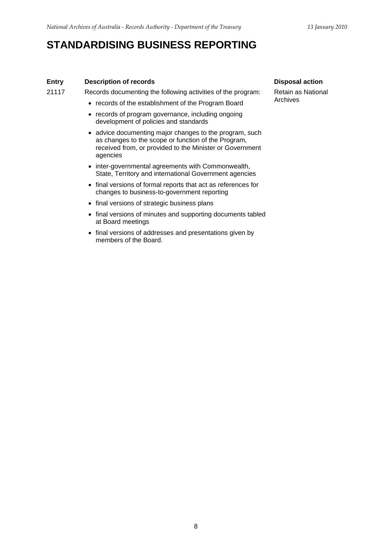# **STANDARDISING BUSINESS REPORTING**

### **Entry** Description of records Disposal action **Disposal action**

21117 Records documenting the following activities of the program:

- records of the establishment of the Program Board
- records of program governance, including ongoing development of policies and standards
- advice documenting major changes to the program, such as changes to the scope or function of the Program, received from, or provided to the Minister or Government agencies
- inter-governmental agreements with Commonwealth, State, Territory and international Government agencies
- final versions of formal reports that act as references for changes to business-to-government reporting
- final versions of strategic business plans
- final versions of minutes and supporting documents tabled at Board meetings
- final versions of addresses and presentations given by members of the Board.

Retain as National Archives